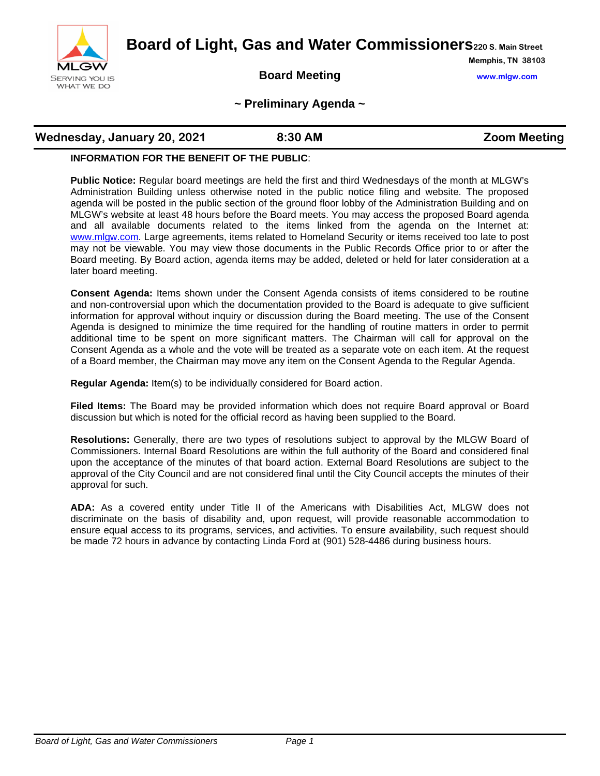

**Board of Light, Gas and Water Commissioners220 S. Main Street**

## **Board Meeting www.mlgw.com**

**Memphis, TN 38103**

### **~ Preliminary Agenda ~**

## **Wednesday, January 20, 2021 8:30 AM All increments and Zoom Meeting**

### **INFORMATION FOR THE BENEFIT OF THE PUBLIC**:

**Public Notice:** Regular board meetings are held the first and third Wednesdays of the month at MLGW's Administration Building unless otherwise noted in the public notice filing and website. The proposed agenda will be posted in the public section of the ground floor lobby of the Administration Building and on MLGW's website at least 48 hours before the Board meets. You may access the proposed Board agenda and all available documents related to the items linked from the agenda on the Internet at: [www.mlgw.com.](http://www.mlgw.com/) Large agreements, items related to Homeland Security or items received too late to post may not be viewable. You may view those documents in the Public Records Office prior to or after the Board meeting. By Board action, agenda items may be added, deleted or held for later consideration at a later board meeting.

**Consent Agenda:** Items shown under the Consent Agenda consists of items considered to be routine and non-controversial upon which the documentation provided to the Board is adequate to give sufficient information for approval without inquiry or discussion during the Board meeting. The use of the Consent Agenda is designed to minimize the time required for the handling of routine matters in order to permit additional time to be spent on more significant matters. The Chairman will call for approval on the Consent Agenda as a whole and the vote will be treated as a separate vote on each item. At the request of a Board member, the Chairman may move any item on the Consent Agenda to the Regular Agenda.

**Regular Agenda:** Item(s) to be individually considered for Board action.

**Filed Items:** The Board may be provided information which does not require Board approval or Board discussion but which is noted for the official record as having been supplied to the Board.

**Resolutions:** Generally, there are two types of resolutions subject to approval by the MLGW Board of Commissioners. Internal Board Resolutions are within the full authority of the Board and considered final upon the acceptance of the minutes of that board action. External Board Resolutions are subject to the approval of the City Council and are not considered final until the City Council accepts the minutes of their approval for such.

**ADA:** As a covered entity under Title II of the Americans with Disabilities Act, MLGW does not discriminate on the basis of disability and, upon request, will provide reasonable accommodation to ensure equal access to its programs, services, and activities. To ensure availability, such request should be made 72 hours in advance by contacting Linda Ford at (901) 528-4486 during business hours.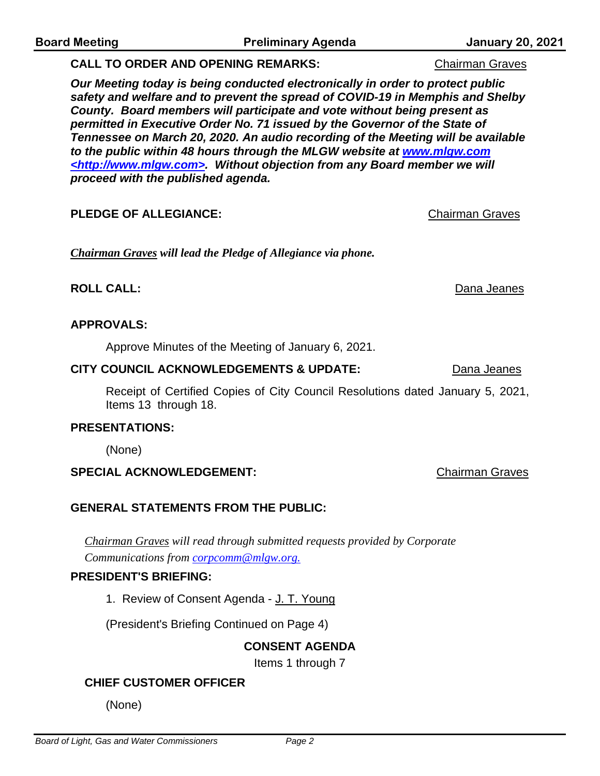**PLEDGE OF ALLEGIANCE:** Chairman Graves

*Chairman Graves will lead the Pledge of Allegiance via phone.*

# **ROLL CALL:** Dana Jeanes

# **APPROVALS:**

Approve Minutes of the Meeting of January 6, 2021.

## **CITY COUNCIL ACKNOWLEDGEMENTS & UPDATE:** Dana Jeanes

Receipt of Certified Copies of City Council Resolutions dated January 5, 2021, Items 13 through 18.

## **PRESENTATIONS:**

(None)

# **SPECIAL ACKNOWLEDGEMENT:** Chairman Graves

# **GENERAL STATEMENTS FROM THE PUBLIC:**

*Chairman Graves will read through submitted requests provided by Corporate Communications from corpcomm@mlgw.org.*

# **PRESIDENT'S BRIEFING:**

1. Review of Consent Agenda - J. T. Young

(President's Briefing Continued on Page 4)

# **CONSENT AGENDA**

Items 1 through 7

# **CHIEF CUSTOMER OFFICER**

(None)

*Our Meeting today is being conducted electronically in order to protect public safety and welfare and to prevent the spread of COVID-19 in Memphis and Shelby County. Board members will participate and vote without being present as permitted in Executive Order No. 71 issued by the Governor of the State of Tennessee on March 20, 2020. An audio recording of the Meeting will be available to the public within 48 hours through the MLGW website at www.mlgw.com <http://www.mlgw.com>. Without objection from any Board member we will proceed with the published agenda.*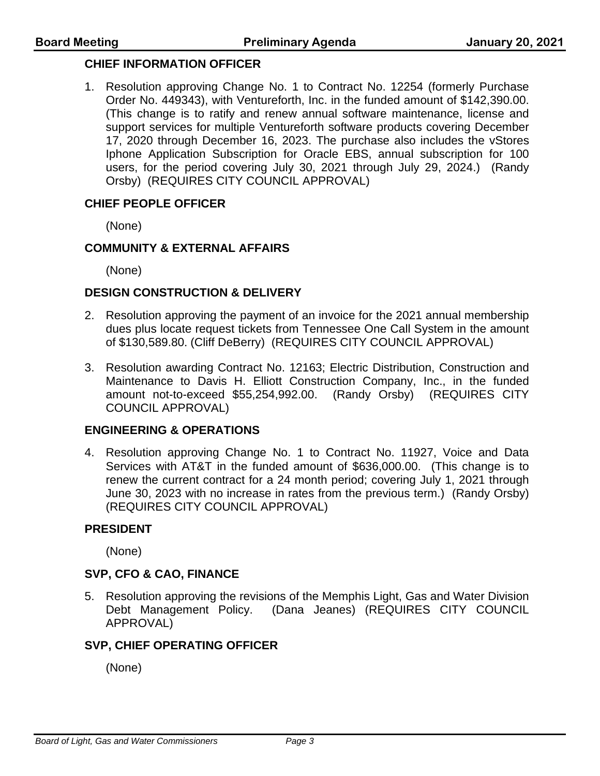### **CHIEF INFORMATION OFFICER**

1. Resolution approving Change No. 1 to Contract No. 12254 (formerly Purchase Order No. 449343), with Ventureforth, Inc. in the funded amount of \$142,390.00. (This change is to ratify and renew annual software maintenance, license and support services for multiple Ventureforth software products covering December 17, 2020 through December 16, 2023. The purchase also includes the vStores Iphone Application Subscription for Oracle EBS, annual subscription for 100 users, for the period covering July 30, 2021 through July 29, 2024.) (Randy Orsby) (REQUIRES CITY COUNCIL APPROVAL)

### **CHIEF PEOPLE OFFICER**

(None)

### **COMMUNITY & EXTERNAL AFFAIRS**

(None)

### **DESIGN CONSTRUCTION & DELIVERY**

- 2. Resolution approving the payment of an invoice for the 2021 annual membership dues plus locate request tickets from Tennessee One Call System in the amount of \$130,589.80. (Cliff DeBerry) (REQUIRES CITY COUNCIL APPROVAL)
- 3. Resolution awarding Contract No. 12163; Electric Distribution, Construction and Maintenance to Davis H. Elliott Construction Company, Inc., in the funded amount not-to-exceed \$55,254,992.00. (Randy Orsby) (REQUIRES CITY COUNCIL APPROVAL)

### **ENGINEERING & OPERATIONS**

4. Resolution approving Change No. 1 to Contract No. 11927, Voice and Data Services with AT&T in the funded amount of \$636,000.00. (This change is to renew the current contract for a 24 month period; covering July 1, 2021 through June 30, 2023 with no increase in rates from the previous term.) (Randy Orsby) (REQUIRES CITY COUNCIL APPROVAL)

### **PRESIDENT**

(None)

### **SVP, CFO & CAO, FINANCE**

5. Resolution approving the revisions of the Memphis Light, Gas and Water Division Debt Management Policy. (Dana Jeanes) (REQUIRES CITY COUNCIL APPROVAL)

### **SVP, CHIEF OPERATING OFFICER**

(None)